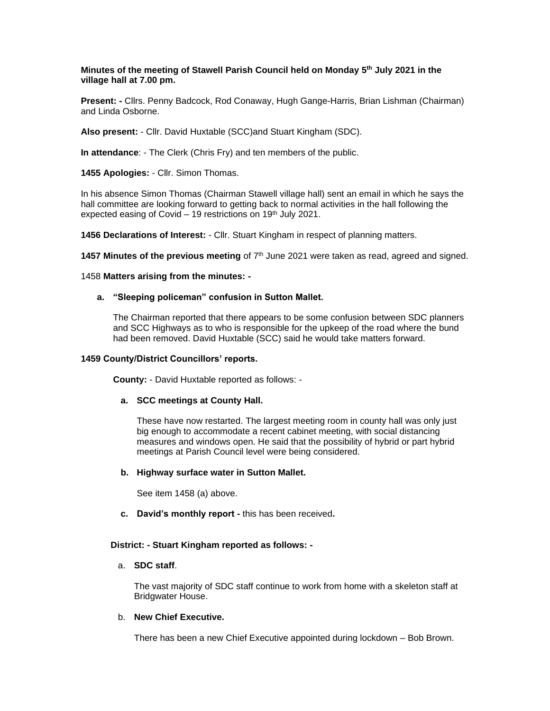### **Minutes of the meeting of Stawell Parish Council held on Monday 5 th July 2021 in the village hall at 7.00 pm.**

**Present: -** Cllrs. Penny Badcock, Rod Conaway, Hugh Gange-Harris, Brian Lishman (Chairman) and Linda Osborne.

**Also present:** - Cllr. David Huxtable (SCC)and Stuart Kingham (SDC).

**In attendance**: - The Clerk (Chris Fry) and ten members of the public.

**1455 Apologies:** - Cllr. Simon Thomas.

In his absence Simon Thomas (Chairman Stawell village hall) sent an email in which he says the hall committee are looking forward to getting back to normal activities in the hall following the expected easing of Covid  $-$  19 restrictions on 19<sup>th</sup> July 2021.

**1456 Declarations of Interest:** - Cllr. Stuart Kingham in respect of planning matters.

1457 Minutes of the previous meeting of 7<sup>th</sup> June 2021 were taken as read, agreed and signed.

1458 **Matters arising from the minutes: -**

### **a. "Sleeping policeman" confusion in Sutton Mallet.**

The Chairman reported that there appears to be some confusion between SDC planners and SCC Highways as to who is responsible for the upkeep of the road where the bund had been removed. David Huxtable (SCC) said he would take matters forward.

### **1459 County/District Councillors' reports.**

 **County:** - David Huxtable reported as follows: -

## **a. SCC meetings at County Hall.**

These have now restarted. The largest meeting room in county hall was only just big enough to accommodate a recent cabinet meeting, with social distancing measures and windows open. He said that the possibility of hybrid or part hybrid meetings at Parish Council level were being considered.

## **b. Highway surface water in Sutton Mallet.**

See item 1458 (a) above.

**c. David's monthly report -** this has been received**.**

### **District: - Stuart Kingham reported as follows: -**

### a. **SDC staff**.

The vast majority of SDC staff continue to work from home with a skeleton staff at Bridgwater House.

# b. **New Chief Executive.**

There has been a new Chief Executive appointed during lockdown – Bob Brown.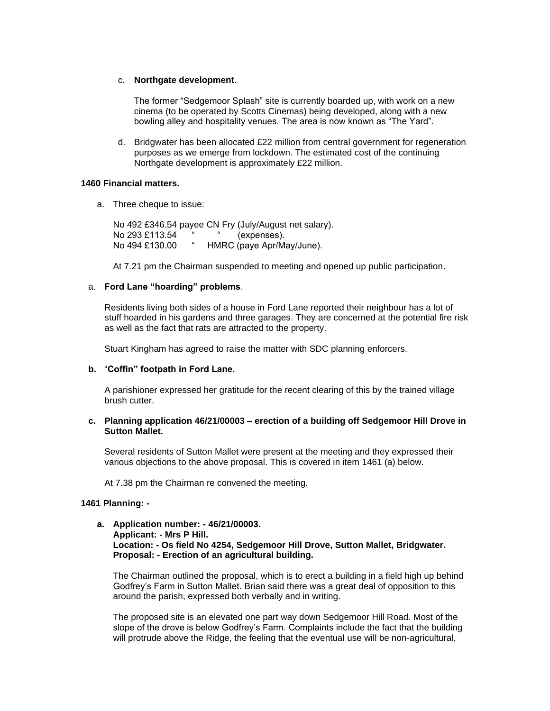### c. **Northgate development**.

The former "Sedgemoor Splash" site is currently boarded up, with work on a new cinema (to be operated by Scotts Cinemas) being developed, along with a new bowling alley and hospitality venues. The area is now known as "The Yard".

d. Bridgwater has been allocated £22 million from central government for regeneration purposes as we emerge from lockdown. The estimated cost of the continuing Northgate development is approximately £22 million.

### **1460 Financial matters.**

a. Three cheque to issue:

No 492 £346.54 payee CN Fry (July/August net salary). No 293 £113.54 " " (expenses). No 494 £130.00 " HMRC (paye Apr/May/June).

At 7.21 pm the Chairman suspended to meeting and opened up public participation.

## a. **Ford Lane "hoarding" problems**.

Residents living both sides of a house in Ford Lane reported their neighbour has a lot of stuff hoarded in his gardens and three garages. They are concerned at the potential fire risk as well as the fact that rats are attracted to the property.

Stuart Kingham has agreed to raise the matter with SDC planning enforcers.

### **b.** "**Coffin" footpath in Ford Lane.**

A parishioner expressed her gratitude for the recent clearing of this by the trained village brush cutter.

### **c. Planning application 46/21/00003 – erection of a building off Sedgemoor Hill Drove in Sutton Mallet.**

Several residents of Sutton Mallet were present at the meeting and they expressed their various objections to the above proposal. This is covered in item 1461 (a) below.

At 7.38 pm the Chairman re convened the meeting.

### **1461 Planning: -**

## **a. Application number: - 46/21/00003. Applicant: - Mrs P Hill. Location: - Os field No 4254, Sedgemoor Hill Drove, Sutton Mallet, Bridgwater. Proposal: - Erection of an agricultural building.**

The Chairman outlined the proposal, which is to erect a building in a field high up behind Godfrey's Farm in Sutton Mallet. Brian said there was a great deal of opposition to this around the parish, expressed both verbally and in writing.

The proposed site is an elevated one part way down Sedgemoor Hill Road. Most of the slope of the drove is below Godfrey's Farm. Complaints include the fact that the building will protrude above the Ridge, the feeling that the eventual use will be non-agricultural,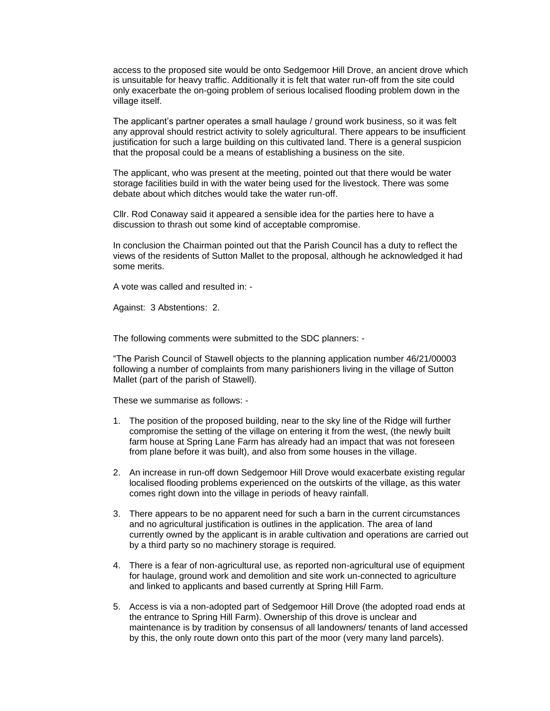access to the proposed site would be onto Sedgemoor Hill Drove, an ancient drove which is unsuitable for heavy traffic. Additionally it is felt that water run-off from the site could only exacerbate the on-going problem of serious localised flooding problem down in the village itself.

The applicant's partner operates a small haulage / ground work business, so it was felt any approval should restrict activity to solely agricultural. There appears to be insufficient justification for such a large building on this cultivated land. There is a general suspicion that the proposal could be a means of establishing a business on the site.

The applicant, who was present at the meeting, pointed out that there would be water storage facilities build in with the water being used for the livestock. There was some debate about which ditches would take the water run-off.

Cllr. Rod Conaway said it appeared a sensible idea for the parties here to have a discussion to thrash out some kind of acceptable compromise.

In conclusion the Chairman pointed out that the Parish Council has a duty to reflect the views of the residents of Sutton Mallet to the proposal, although he acknowledged it had some merits.

A vote was called and resulted in: -

Against: 3 Abstentions: 2.

The following comments were submitted to the SDC planners: -

"The Parish Council of Stawell objects to the planning application number 46/21/00003 following a number of complaints from many parishioners living in the village of Sutton Mallet (part of the parish of Stawell).

These we summarise as follows: -

- 1. The position of the proposed building, near to the sky line of the Ridge will further compromise the setting of the village on entering it from the west, (the newly built farm house at Spring Lane Farm has already had an impact that was not foreseen from plane before it was built), and also from some houses in the village.
- 2. An increase in run-off down Sedgemoor Hill Drove would exacerbate existing regular localised flooding problems experienced on the outskirts of the village, as this water comes right down into the village in periods of heavy rainfall.
- 3. There appears to be no apparent need for such a barn in the current circumstances and no agricultural justification is outlines in the application. The area of land currently owned by the applicant is in arable cultivation and operations are carried out by a third party so no machinery storage is required.
- 4. There is a fear of non-agricultural use, as reported non-agricultural use of equipment for haulage, ground work and demolition and site work un-connected to agriculture and linked to applicants and based currently at Spring Hill Farm.
- 5. Access is via a non-adopted part of Sedgemoor Hill Drove (the adopted road ends at the entrance to Spring Hill Farm). Ownership of this drove is unclear and maintenance is by tradition by consensus of all landowners/ tenants of land accessed by this, the only route down onto this part of the moor (very many land parcels).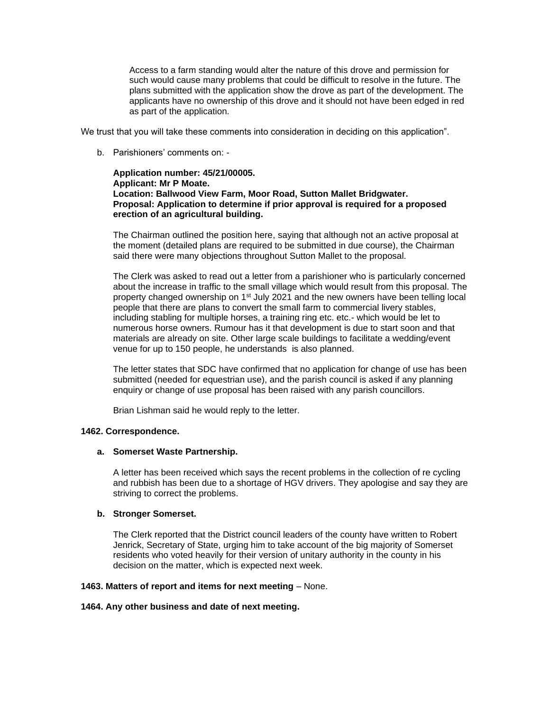Access to a farm standing would alter the nature of this drove and permission for such would cause many problems that could be difficult to resolve in the future. The plans submitted with the application show the drove as part of the development. The applicants have no ownership of this drove and it should not have been edged in red as part of the application.

We trust that you will take these comments into consideration in deciding on this application".

b. Parishioners' comments on: -

## **Application number: 45/21/00005. Applicant: Mr P Moate. Location: Ballwood View Farm, Moor Road, Sutton Mallet Bridgwater. Proposal: Application to determine if prior approval is required for a proposed erection of an agricultural building.**

The Chairman outlined the position here, saying that although not an active proposal at the moment (detailed plans are required to be submitted in due course), the Chairman said there were many objections throughout Sutton Mallet to the proposal.

The Clerk was asked to read out a letter from a parishioner who is particularly concerned about the increase in traffic to the small village which would result from this proposal. The property changed ownership on 1<sup>st</sup> July 2021 and the new owners have been telling local people that there are plans to convert the small farm to commercial livery stables, including stabling for multiple horses, a training ring etc. etc.- which would be let to numerous horse owners. Rumour has it that development is due to start soon and that materials are already on site. Other large scale buildings to facilitate a wedding/event venue for up to 150 people, he understands is also planned.

The letter states that SDC have confirmed that no application for change of use has been submitted (needed for equestrian use), and the parish council is asked if any planning enquiry or change of use proposal has been raised with any parish councillors.

Brian Lishman said he would reply to the letter.

## **1462. Correspondence.**

## **a. Somerset Waste Partnership.**

A letter has been received which says the recent problems in the collection of re cycling and rubbish has been due to a shortage of HGV drivers. They apologise and say they are striving to correct the problems.

## **b. Stronger Somerset.**

The Clerk reported that the District council leaders of the county have written to Robert Jenrick, Secretary of State, urging him to take account of the big majority of Somerset residents who voted heavily for their version of unitary authority in the county in his decision on the matter, which is expected next week.

### **1463. Matters of report and items for next meeting – None.**

#### **1464. Any other business and date of next meeting.**